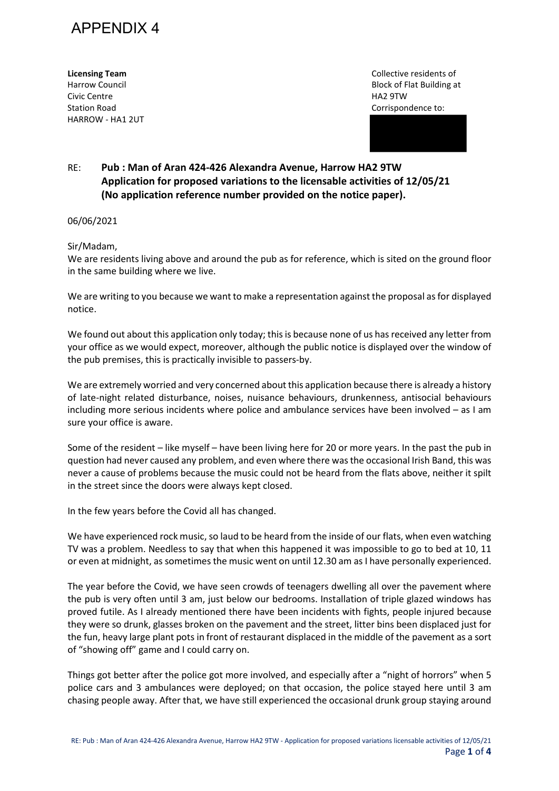

Civic Centre HA2 9TW Station Road **Corrispondence** to: **Corrispondence to: Corrispondence to: Corrispondence to: Corrispondence to: Corrispondence to: Corrispondence to: Corrispondence to: Corrispondence to: Corrispondence to:** HARROW - HA1 2UT

**Licensing Team Collective residents of Collective residents of Collective residents of** Harrow Council **Block of Flat Building at Allen** Block of Flat Building at

## RE: **Pub : Man of Aran 424-426 Alexandra Avenue, Harrow HA2 9TW Application for proposed variations to the licensable activities of 12/05/21 (No application reference number provided on the notice paper).**

## 06/06/2021

## Sir/Madam,

We are residents living above and around the pub as for reference, which is sited on the ground floor in the same building where we live.

We are writing to you because we want to make a representation against the proposal as for displayed notice.

We found out about this application only today; this is because none of us has received any letter from your office as we would expect, moreover, although the public notice is displayed over the window of the pub premises, this is practically invisible to passers-by.

We are extremely worried and very concerned about this application because there is already a history of late-night related disturbance, noises, nuisance behaviours, drunkenness, antisocial behaviours including more serious incidents where police and ambulance services have been involved – as I am sure your office is aware.

Some of the resident – like myself – have been living here for 20 or more years. In the past the pub in question had never caused any problem, and even where there was the occasional Irish Band, this was never a cause of problems because the music could not be heard from the flats above, neither it spilt in the street since the doors were always kept closed.

In the few years before the Covid all has changed.

We have experienced rock music, so laud to be heard from the inside of our flats, when even watching TV was a problem. Needless to say that when this happened it was impossible to go to bed at 10, 11 or even at midnight, as sometimes the music went on until 12.30 am as I have personally experienced.

The year before the Covid, we have seen crowds of teenagers dwelling all over the pavement where the pub is very often until 3 am, just below our bedrooms. Installation of triple glazed windows has proved futile. As I already mentioned there have been incidents with fights, people injured because they were so drunk, glasses broken on the pavement and the street, litter bins been displaced just for the fun, heavy large plant pots in front of restaurant displaced in the middle of the pavement as a sort of "showing off" game and I could carry on.

Things got better after the police got more involved, and especially after a "night of horrors" when 5 police cars and 3 ambulances were deployed; on that occasion, the police stayed here until 3 am chasing people away. After that, we have still experienced the occasional drunk group staying around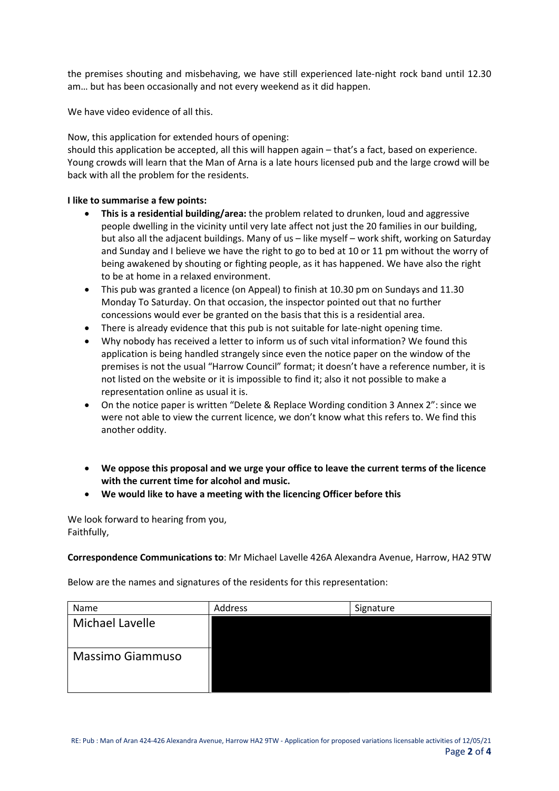the premises shouting and misbehaving, we have still experienced late-night rock band until 12.30 am… but has been occasionally and not every weekend as it did happen.

We have video evidence of all this.

Now, this application for extended hours of opening:

should this application be accepted, all this will happen again – that's a fact, based on experience. Young crowds will learn that the Man of Arna is a late hours licensed pub and the large crowd will be back with all the problem for the residents.

## **I like to summarise a few points:**

- **This is a residential building/area:** the problem related to drunken, loud and aggressive people dwelling in the vicinity until very late affect not just the 20 families in our building, but also all the adjacent buildings. Many of us – like myself – work shift, working on Saturday and Sunday and I believe we have the right to go to bed at 10 or 11 pm without the worry of being awakened by shouting or fighting people, as it has happened. We have also the right to be at home in a relaxed environment.
- This pub was granted a licence (on Appeal) to finish at 10.30 pm on Sundays and 11.30 Monday To Saturday. On that occasion, the inspector pointed out that no further concessions would ever be granted on the basis that this is a residential area.
- There is already evidence that this pub is not suitable for late-night opening time.
- Why nobody has received a letter to inform us of such vital information? We found this application is being handled strangely since even the notice paper on the window of the premises is not the usual "Harrow Council" format; it doesn't have a reference number, it is not listed on the website or it is impossible to find it; also it not possible to make a representation online as usual it is.
- On the notice paper is written "Delete & Replace Wording condition 3 Annex 2": since we were not able to view the current licence, we don't know what this refers to. We find this another oddity.
- **We oppose this proposal and we urge your office to leave the current terms of the licence with the current time for alcohol and music.**
- **We would like to have a meeting with the licencing Officer before this**

We look forward to hearing from you, Faithfully,

**Correspondence Communications to**: Mr Michael Lavelle 426A Alexandra Avenue, Harrow, HA2 9TW

Below are the names and signatures of the residents for this representation:

| Name                    | Address | Signature |
|-------------------------|---------|-----------|
| <b>Michael Lavelle</b>  |         |           |
| <b>Massimo Giammuso</b> |         |           |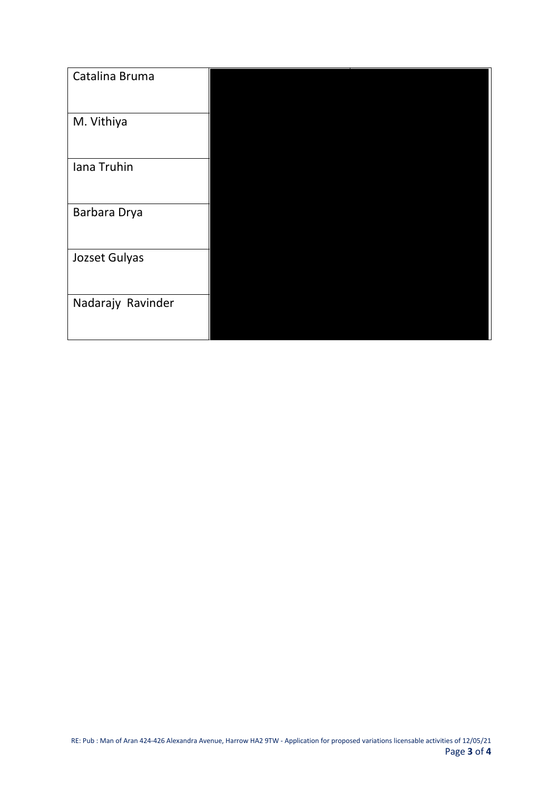| Catalina Bruma    |  |
|-------------------|--|
| M. Vithiya        |  |
| Iana Truhin       |  |
| Barbara Drya      |  |
| Jozset Gulyas     |  |
| Nadarajy Ravinder |  |